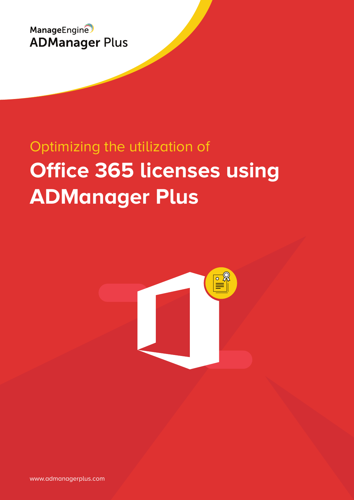

# Optimizing the utilization of **Office 365 licenses using ADManager Plus**



www.admanagerplus.com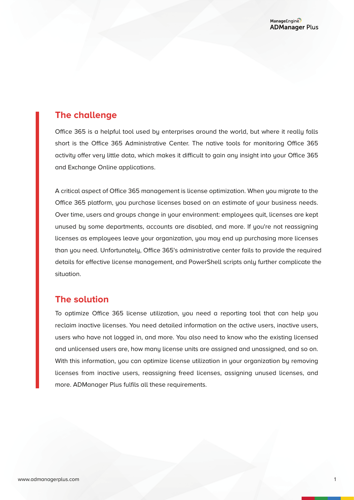## **The challenge**

Office 365 is a helpful tool used by enterprises around the world, but where it really falls short is the Office 365 Administrative Center. The native tools for monitoring Office 365 activity offer very little data, which makes it difficult to gain any insight into your Office 365 and Exchange Online applications.

A critical aspect of Office 365 management is license optimization. When you migrate to the Office 365 platform, you purchase licenses based on an estimate of your business needs. Over time, users and groups change in your environment: employees quit, licenses are kept unused by some departments, accounts are disabled, and more. If you're not reassigning licenses as employees leave your organization, you may end up purchasing more licenses than you need. Unfortunately, Office 365's administrative center fails to provide the required details for effective license management, and PowerShell scripts only further complicate the situation.

## **The solution**

To optimize Office 365 license utilization, you need a reporting tool that can help you reclaim inactive licenses. You need detailed information on the active users, inactive users, users who have not logged in, and more. You also need to know who the existing licensed and unlicensed users are, how many license units are assigned and unassigned, and so on. With this information, you can optimize license utilization in your organization by removing licenses from inactive users, reassigning freed licenses, assigning unused licenses, and more. ADManager Plus fulfils all these requirements.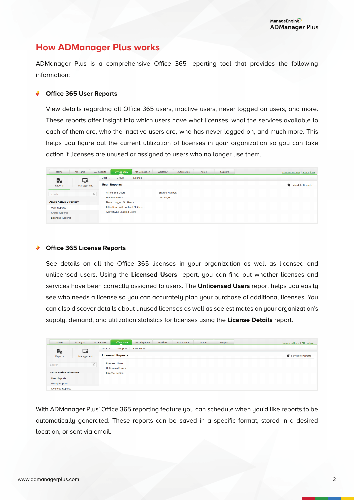## **How ADManager Plus works**

ADManager Plus is a comprehensive Office 365 reporting tool that provides the following information:

#### **Office 365 User Reports**

View details regarding all Office 365 users, inactive users, never logged on users, and more. These reports offer insight into which users have what licenses, what the services available to each of them are, who the inactive users are, who has never logged on, and much more. This helps you figure out the current utilization of licenses in your organization so you can take action if licenses are unused or assigned to users who no longer use them.

| Home                          | AD Mgmt    | Office 365<br><b>AD Reports</b>                | Workflow<br><b>AD Delegation</b> | Automation | Admin | Support | Domain Settings   AD Explorer |
|-------------------------------|------------|------------------------------------------------|----------------------------------|------------|-------|---------|-------------------------------|
| Ē¢                            | ه ٍا       | $Group -$<br>License $\sim$<br>User $\sqrt{ }$ |                                  |            |       |         |                               |
| Reports                       | Management | <b>User Reports</b>                            |                                  |            |       |         | Schedule Reports              |
| Search                        |            | Office 365 Users                               |                                  |            |       |         |                               |
|                               |            | <b>Inactive Users</b>                          | Last Logon                       |            |       |         |                               |
| <b>Azure Active Directory</b> |            | Never Logged On Users                          |                                  |            |       |         |                               |
| <b>User Reports</b>           |            | <b>Litigation Hold Enabled Mailboxes</b>       |                                  |            |       |         |                               |
| <b>Group Reports</b>          |            | <b>ActiveSync Enabled Users</b>                |                                  |            |       |         |                               |
| <b>Licensed Reports</b>       |            |                                                |                                  |            |       |         |                               |

#### **Office 365 License Reports**

See details on all the Office 365 licenses in your organization as well as licensed and unlicensed users. Using the **Licensed Users** report, you can find out whether licenses and services have been correctly assigned to users. The **Unlicensed Users** report helps you easily see who needs a license so you can accurately plan your purchase of additional licenses. You can also discover details about unused licenses as well as see estimates on your organization's supply, demand, and utilization statistics for licenses using the **License Details** report.

| Home                                        | AD Mgmt    | Office 365<br>AD Reports                                                   | AD Delegation  | Workflow | Automation | Admin | Support | Domain Settings   AD Explorer |
|---------------------------------------------|------------|----------------------------------------------------------------------------|----------------|----------|------------|-------|---------|-------------------------------|
| Ē¢                                          | خما        | $Group -$<br>User $-$                                                      | License $\sim$ |          |            |       |         |                               |
| Reports                                     | Management | <b>Licensed Reports</b>                                                    |                |          |            |       |         | Schedule Reports              |
| Search<br><b>Azure Active Directory</b>     | $\circ$    | <b>Licensed Users</b><br><b>Unlicensed Users</b><br><b>License Details</b> |                |          |            |       |         |                               |
| <b>User Reports</b><br><b>Group Reports</b> |            |                                                                            |                |          |            |       |         |                               |
| <b>Licensed Reports</b>                     |            |                                                                            |                |          |            |       |         |                               |

With ADManager Plus' Office 365 reporting feature you can schedule when you'd like reports to be automatically generated. These reports can be saved in a specific format, stored in a desired location, or sent via email.